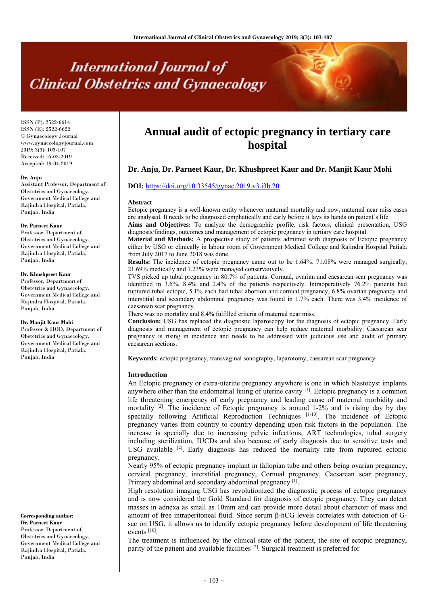# **International Journal of Clinical Obstetrics and Gynaecology**

ISSN (P): 2522-6614 ISSN (E): 2522-6622 © Gynaecology Journal www.gynaecologyjournal.com 2019; 3(3): 103-107 Received: 16-03-2019 Accepted: 19-04-2019

#### **Dr. Anju**

Assistant Professor, Department of Obstetrics and Gynaecology, Government Medical College and Rajindra Hospital, Patiala, Punjab, India

#### **Dr. Parneet Kaur**

Professor, Department of Obstetrics and Gynaecology, Government Medical College and Rajindra Hospital, Patiala, Punjab, India

#### **Dr. Khushpreet Kaur**

Professor, Department of Obstetrics and Gynaecology, Government Medical College and Rajindra Hospital, Patiala, Punjab, India

#### **Dr. Manjit Kaur Mohi**

Professor & HOD, Department of Obstetrics and Gynaecology, Government Medical College and Rajindra Hospital, Patiala, Punjab, India

# **Corresponding author:**

**Dr. Parneet Kaur**  Professor, Department of Obstetrics and Gynaecology, Government Medical College and Rajindra Hospital, Patiala, Punjab, India

# **Annual audit of ectopic pregnancy in tertiary care hospital**

# **Dr. Anju, Dr. Parneet Kaur, Dr. Khushpreet Kaur and Dr. Manjit Kaur Mohi**

# **DOI:** https://doi.org/10.33545/gynae.2019.v3.i3b.20

#### **Abstract**

Ectopic pregnancy is a well-known entity whenever maternal mortality and now, maternal near miss cases are analysed. It needs to be diagnosed emphatically and early before it lays its hands on patient's life. Aims and Objectives: To analyze the demographic profile, risk factors, clinical presentation, USG

diagnosis/findings, outcomes and management of ectopic pregnancy in tertiary care hospital.

**Material and Methods:** A prospective study of patients admitted with diagnosis of Ectopic pregnancy either by USG or clinically in labour room of Government Medical College and Rajindra Hospital Patiala from July 2017 to June 2018 was done.

**Results:** The incidence of ectopic pregnancy came out to be 1.64%. 71.08% were managed surgically, 21.69% medically and 7.23% were managed conservatively.

TVS picked up tubal pregnancy in 80.7% of patients. Cornual, ovarian and caesarean scar pregnancy was identified in 3.6%, 8.4% and 2.4% of the patients respectively. Intraoperatively 76.2% patients had ruptured tubal ectopic, 5.1% each had tubal abortion and cornual pregnancy, 6.8% ovarian pregnancy and interstitial and secondary abdominal pregnancy was found in 1.7% each. There was 3.4% incidence of caesarean scar pregnancy.

There was no mortality and 8.4% fulfilled criteria of maternal near miss.

**Conclusion:** USG has replaced the diagnostic laparoscopy for the diagnosis of ectopic pregnancy. Early diagnosis and management of ectopic pregnancy can help reduce maternal morbidity. Caesarean scar pregnancy is rising in incidence and needs to be addressed with judicious use and audit of primary caesarean sections.

**Keywords:** ectopic pregnancy, transvaginal sonography, laparotomy, caesarean scar pregnancy

#### **Introduction**

An Ectopic pregnancy or extra-uterine pregnancy anywhere is one in which blastocyst implants anywhere other than the endometrial lining of uterine cavity [1]. Ectopic pregnancy is a common life threatening emergency of early pregnancy and leading cause of maternal morbidity and mortality  $^{[2]}$ . The incidence of Ectopic pregnancy is around 1-2% and is rising day by day specially following Artificial Reproduction Techniques  $[1-10]$ . The incidence of Ectopic pregnancy varies from country to country depending upon risk factors in the population. The increase is specially due to increasing pelvic infections, ART technologies, tubal surgery including sterilization, IUCDs and also because of early diagnosis due to sensitive tests and USG available  $[2]$ . Early diagnosis has reduced the mortality rate from ruptured ectopic pregnancy.

Nearly 95% of ectopic pregnancy implant in fallopian tube and others being ovarian pregnancy, cervical pregnancy, interstitial pregnancy, Cornual pregnancy, Caesarean scar pregnancy, Primary abdominal and secondary abdominal pregnancy [1].

High resolution imaging USG has revolutionized the diagnostic process of ectopic pregnancy and is now considered the Gold Standard for diagnosis of ectopic pregnancy. They can detect masses in adnexa as small as 10mm and can provide more detail about character of mass and amount of free intraperitoneal fluid. Since serum β-hCG levels correlates with detection of Gsac on USG, it allows us to identify ectopic pregnancy before development of life threatening events [10].

The treatment is influenced by the clinical state of the patient, the site of ectopic pregnancy, parity of the patient and available facilities <sup>[2]</sup>. Surgical treatment is preferred for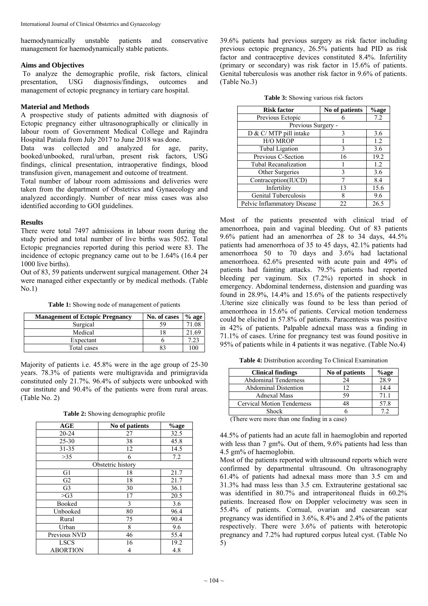haemodynamically unstable patients and conservative management for haemodynamically stable patients.

### **Aims and Objectives**

To analyze the demographic profile, risk factors, clinical presentation, USG diagnosis/findings, outcomes and management of ectopic pregnancy in tertiary care hospital.

# **Material and Methods**

A prospective study of patients admitted with diagnosis of Ectopic pregnancy either ultrasonographically or clinically in labour room of Government Medical College and Rajindra Hospital Patiala from July 2017 to June 2018 was done.

Data was collected and analyzed for age, parity, booked/unbooked, rural/urban, present risk factors, USG findings, clinical presentation, intraoperative findings, blood transfusion given, management and outcome of treatment.

Total number of labour room admissions and deliveries were taken from the department of Obstetrics and Gynaecology and analyzed accordingly. Number of near miss cases was also identified according to GOI guidelines.

#### **Results**

There were total 7497 admissions in labour room during the study period and total number of live births was 5052. Total Ectopic pregnancies reported during this period were 83. The incidence of ectopic pregnancy came out to be 1.64% (16.4 per 1000 live births).

Out of 83, 59 patients underwent surgical management. Other 24 were managed either expectantly or by medical methods. (Table  $No.1$ 

**Table 1:** Showing node of management of patients

| <b>Management of Ectopic Pregnancy</b> | No. of cases | $%$ age |
|----------------------------------------|--------------|---------|
| Surgical                               | 59           | 71.08   |
| Medical                                |              | 21.69   |
| Expectant                              |              | .23     |
| Total cases                            |              | 100     |

Majority of patients i.e. 45.8% were in the age group of 25-30 years. 78.3% of patients were multigravida and primigravida constituted only 21.7%. 96.4% of subjects were unbooked with our institute and 90.4% of the patients were from rural areas. (Table No. 2)

| Table 2: Showing demographic profile |  |  |
|--------------------------------------|--|--|
|--------------------------------------|--|--|

| AGE             | No of patients    | %age |
|-----------------|-------------------|------|
| 20-24           | 27                | 32.5 |
| 25-30           | 38                | 45.8 |
| $31 - 35$       | 12                | 14.5 |
| >35             | 6                 | 7.2  |
|                 | Obstetric history |      |
| G1              | 18                | 21.7 |
| G <sub>2</sub>  | 18                | 21.7 |
| G <sub>3</sub>  | 30                | 36.1 |
| $>\text{G}3$    | 17                | 20.5 |
| Booked          | 3                 | 3.6  |
| Unbooked        | 80                | 96.4 |
| Rural           | 75                | 90.4 |
| Urban           | 8                 | 9.6  |
| Previous NVD    | 46                | 55.4 |
| <b>LSCS</b>     | 16                | 19.2 |
| <b>ABORTION</b> | 4                 | 4.8  |

39.6% patients had previous surgery as risk factor including previous ectopic pregnancy, 26.5% patients had PID as risk factor and contraceptive devices constituted 8.4%. Infertility (primary or secondary) was risk factor in 15.6% of patients. Genital tuberculosis was another risk factor in 9.6% of patients. (Table No.3)

| <b>Table 3:</b> Showing various risk factors |  |  |  |
|----------------------------------------------|--|--|--|
|----------------------------------------------|--|--|--|

| <b>Risk factor</b>          | No of patients | %age |
|-----------------------------|----------------|------|
| Previous Ectopic            |                | 7.2  |
| Previous Surgery -          |                |      |
| D & C/ MTP pill intake      | 3              | 3.6  |
| H/O MROP                    |                | 1.2  |
| <b>Tubal Ligation</b>       | 3              | 3.6  |
| Previous C-Section          | 16             | 19.2 |
| Tubal Recanalization        |                | 1.2  |
| Other Surgeries             | 3              | 3.6  |
| Contraception(IUCD)         |                | 8.4  |
| Infertility                 | 13             | 15.6 |
| Genital Tuberculosis        | 8              | 9.6  |
| Pelvic Inflammatory Disease | 22             | 26.5 |

Most of the patients presented with clinical triad of amenorrhoea, pain and vaginal bleeding. Out of 83 patients 9.6% patient had an amenorrhea of 28 to 34 days, 44.5% patients had amenorrhoea of 35 to 45 days, 42.1% patients had amenorrhoea 50 to 70 days and 3.6% had lactational amenorrhoea. 62.6% presented with acute pain and 49% of patients had fainting attacks. 79.5% patients had reported bleeding per vaginum. Six (7.2%) reported in shock in emergency. Abdominal tenderness, distension and guarding was found in 28.9%, 14.4% and 15.6% of the patients respectively .Uterine size clinically was found to be less than period of amenorrhoea in 15.6% of patients. Cervical motion tenderness could be elicited in 57.8% of patients. Paracentesis was positive in 42% of patients. Palpable adnexal mass was a finding in 71.1% of cases. Urine for pregnancy test was found positive in 95% of patients while in 4 patients it was negative. (Table No.4)

**Table 4:** Distribution according To Clinical Examination

| <b>Clinical findings</b>          | No of patients | %age |
|-----------------------------------|----------------|------|
| <b>Abdominal Tenderness</b>       | 24             | 28.9 |
| <b>Abdominal Distention</b>       |                | 14.4 |
| <b>Adnexal Mass</b>               | 59             | 71 1 |
| <b>Cervical Motion Tenderness</b> |                | 57.8 |
| Shock                             |                |      |

(There were more than one finding in a case)

44.5% of patients had an acute fall in haemoglobin and reported with less than 7 gm%. Out of them, 9.6% patients had less than 4.5 gm% of haemoglobin.

Most of the patients reported with ultrasound reports which were confirmed by departmental ultrasound. On ultrasonography 61.4% of patients had adnexal mass more than 3.5 cm and 31.3% had mass less than 3.5 cm. Extrauterine gestational sac was identified in 80.7% and intraperitoneal fluids in 60.2% patients. Increased flow on Doppler velocimetry was seen in 55.4% of patients. Cornual, ovarian and caesarean scar pregnancy was identified in 3.6%, 8.4% and 2.4% of the patients respectively. There were 3.6% of patients with heterotopic pregnancy and 7.2% had ruptured corpus luteal cyst. (Table No 5)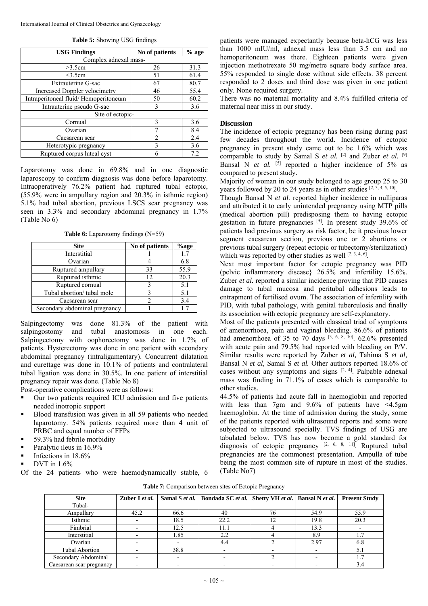| <b>USG Findings</b>                  | No of patients | $%$ age |
|--------------------------------------|----------------|---------|
| Complex adnexal mass-                |                |         |
| >3.5cm                               | 26             | 31.3    |
| $<$ 3.5 $cm$                         | 51             | 61.4    |
| <b>Extrauterine G-sac</b>            | 67             | 80.7    |
| <b>Increased Doppler velocimetry</b> | 46             | 55.4    |
| Intraperitoneal fluid/Hemoperitoneum | 50             | 60.2    |
| Intrauterine pseudo G-sac            | 3              | 3.6     |
| Site of ectopic-                     |                |         |
| Cornual                              | 3              | 3.6     |
| Ovarian                              |                | 8.4     |
| Caesarean scar                       | 2              | 2.4     |
| Heterotypic pregnancy                | 3              | 3.6     |
| Ruptured corpus luteal cyst          | 6              | 7.2     |

Laparotomy was done in 69.8% and in one diagnostic laparoscopy to confirm diagnosis was done before laparotomy. Intraoperatively 76.2% patient had ruptured tubal ectopic, (55.9% were in ampullary region and 20.3% in isthmic region) 5.1% had tubal abortion, previous LSCS scar pregnancy was seen in 3.3% and secondary abdominal pregnancy in 1.7% (Table No 6)

**Table 6:** Laparotomy findings (N=59)

| <b>Site</b>                   | No of patients | %age |
|-------------------------------|----------------|------|
| Interstitial                  |                | 1.7  |
| Ovarian                       |                | 6.8  |
| Ruptured ampullary            | 33             | 55.9 |
| Ruptured isthmic              | 12             | 20.3 |
| Ruptured cornual              |                | 5.1  |
| Tubal abortion/ tubal mole    |                | 5.1  |
| Caesarean scar                |                | 3.4  |
| Secondary abdominal pregnancy |                |      |

Salpingectomy was done 81.3% of the patient with salpingostomy and tubal anastomosis in one each. Salpingectomy with oophorectomy was done in 1.7% of patients. Hysterectomy was done in one patient with secondary abdominal pregnancy (intraligamentary). Concurrent dilatation and curettage was done in 10.1% of patients and contralateral tubal ligation was done in 30.5%. In one patient of interstitial pregnancy repair was done. (Table No 8)

Post-operative complications were as follows:

- Our two patients required ICU admission and five patients needed inotropic support
- Blood transfusion was given in all 59 patients who needed laparotomy. 54% patients required more than 4 unit of PRBC and equal number of FFPs
- 59.3% had febrile morbidity
- Paralytic ileus in 16.9%
- Infections in 18.6%
- DVT in 1.6%

Of the 24 patients who were haemodynamically stable, 6

patients were managed expectantly because beta-hCG was less than 1000 mIU/ml, adnexal mass less than 3.5 cm and no hemoperitoneum was there. Eighteen patients were given injection methotrexate 50 mg/metre square body surface area. 55% responded to single dose without side effects. 38 percent responded to 2 doses and third dose was given in one patient only. None required surgery.

There was no maternal mortality and 8.4% fulfilled criteria of maternal near miss in our study.

# **Discussion**

The incidence of ectopic pregnancy has been rising during past few decades throughout the world. Incidence of ectopic pregnancy in present study came out to be 1.6% which was comparable to study by Samal S *et al.* [2] and Zuber *et al.* [9] Bansal N *et al.* [5] reported a higher incidence of 5% as compared to present study.

Majority of woman in our study belonged to age group 25 to 30 years followed by 20 to 24 years as in other studies  $[2, 3, 4, 5, 10]$ .

Though Bansal N *et al.* reported higher incidence in nulliparas and attributed it to early unintended pregnancy using MTP pills (medical abortion pill) predisposing them to having ectopic gestation in future pregnancies <sup>[5]</sup>. In present study 39.6% of patients had previous surgery as risk factor, be it previous lower segment caesarean section, previous one or 2 abortions or previous tubal surgery (repeat ectopic or tubectomy/sterilization) which was reported by other studies as well [2, 3, 4, 6].

Next most important factor for ectopic pregnancy was PID (pelvic inflammatory disease} 26.5% and infertility 15.6%. Zuber *et al.* reported a similar incidence proving that PID causes damage to tubal mucosa and peritubal adhesions leads to entrapment of fertilised ovum. The association of infertility with PID, with tubal pathology, with genital tuberculosis and finally its association with ectopic pregnancy are self-explanatory.

Most of the patients presented with classical triad of symptoms of amenorrhoea, pain and vaginal bleeding. 86.6% of patients had amenorrhoea of 35 to 70 days <sup>[3, 6, 8, 10]</sup>. 62.6% presented with acute pain and 79.5% had reported with bleeding on P/V. Similar results were reported by Zuber *et al,* Tahima S *et al,* Bansal N *et al,* Samal S *et al.* Other authors reported 18.6% of cases without any symptoms and signs  $[2, 4]$ . Palpable adnexal mass was finding in 71.1% of cases which is comparable to other studies.

44.5% of patients had acute fall in haemoglobin and reported with less than 7gm and 9.6% of patients have <4.5gm haemoglobin. At the time of admission during the study, some of the patients reported with ultrasound reports and some were subjected to ultrasound specially. TVS findings of USG are tabulated below. TVS has now become a gold standard for diagnosis of ectopic pregnancy  $[2, 6, 8, 11]$ . Ruptured tubal pregnancies are the commonest presentation. Ampulla of tube being the most common site of rupture in most of the studies. (Table No7)

**Table 7:** Comparison between sites of Ectopic Pregnancy

| <b>Site</b>              | Zuber I et al. | Samal S et al. | Bondada SC et al.   Shetty VH et al.   Bansal N et al. |    |      | <b>Present Study</b> |
|--------------------------|----------------|----------------|--------------------------------------------------------|----|------|----------------------|
| Tubal-                   |                |                |                                                        |    |      |                      |
| Ampullary                | 45.2           | 66.6           | 40                                                     | 76 | 54.9 | 55.9                 |
| Isthmic                  |                | 18.5           | 22.2                                                   | 12 | 19.8 | 20.3                 |
| Fimbrial                 |                | 12.5           | 11.1                                                   |    | 13.3 |                      |
| Interstitial             |                | 1.85           | 2.2                                                    |    | 8.9  | 1.7                  |
| Ovarian                  |                |                | 4.4                                                    |    | 2.97 | 6.8                  |
| <b>Tubal Abortion</b>    |                | 38.8           |                                                        |    |      | 5.1                  |
| Secondary Abdominal      |                |                |                                                        |    |      | 1.7                  |
| Caesarean scar pregnancy |                |                |                                                        |    |      | 3.4                  |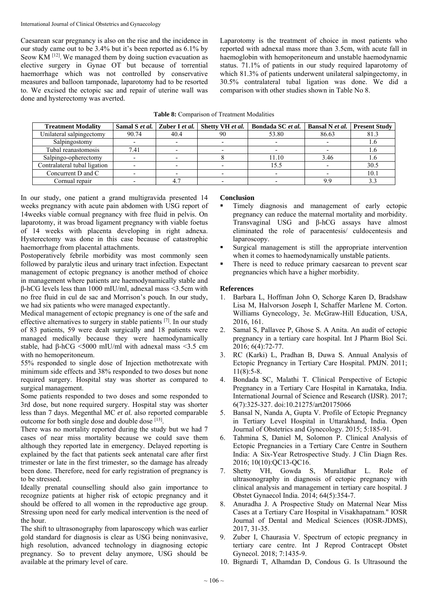Caesarean scar pregnancy is also on the rise and the incidence in our study came out to be 3.4% but it's been reported as 6.1% by Seow KM <sup>[12]</sup>. We managed them by doing suction evacuation as elective surgery in Gynae OT but because of torrential haemorrhage which was not controlled by conservative measures and balloon tamponade, laparotomy had to be resorted to. We excised the ectopic sac and repair of uterine wall was done and hysterectomy was averted.

Laparotomy is the treatment of choice in most patients who reported with adnexal mass more than 3.5cm, with acute fall in haemoglobin with hemoperitoneum and unstable haemodynamic status. 71.1% of patients in our study required laparotomy of which 81.3% of patients underwent unilateral salpingectomy, in 30.5% contralateral tubal ligation was done. We did a comparison with other studies shown in Table No 8.

| <b>Treatment Modality</b>    |       | Samal S et al.   Zuber I et al. | Shetty VH et al. | Bondada SC et al. | Bansal N et al. | <b>Present Study</b> |
|------------------------------|-------|---------------------------------|------------------|-------------------|-----------------|----------------------|
| Unilateral salpingectomy     | 90.74 | 40.4                            | 90               | 53.80             | 86.63           | 81.3                 |
| Salpingostomy                |       |                                 |                  |                   |                 |                      |
| Tubal reanastomosis          | 7.41  |                                 |                  |                   |                 |                      |
| Salpingo-opherectomy         |       |                                 |                  | 11.10             | 3.46            | 1.6                  |
| Contralateral tubal ligation |       |                                 |                  | 15.5              |                 | 30.5                 |
| Concurrent D and C           |       |                                 |                  |                   |                 | 10.1                 |
| Cornual repair               |       |                                 |                  |                   | a c             |                      |

In our study, one patient a grand multigravida presented 14 weeks pregnancy with acute pain abdomen with USG report of 14weeks viable cornual pregnancy with free fluid in pelvis. On laparotomy, it was broad ligament pregnancy with viable foetus of 14 weeks with placenta developing in right adnexa. Hysterectomy was done in this case because of catastrophic haemorrhage from placental attachments.

Postoperatively febrile morbidity was most commonly seen followed by paralytic ileus and urinary tract infection. Expectant management of ectopic pregnancy is another method of choice in management where patients are haemodynamically stable and β-hCG levels less than 1000 mIU/ml, adnexal mass <3.5cm with no free fluid in cul de sac and Morrison's pouch. In our study, we had six patients who were managed expectantly.

Medical management of ectopic pregnancy is one of the safe and effective alternatives to surgery in stable patients [7]. In our study of 83 patients, 59 were dealt surgically and 18 patients were managed medically because they were haemodynamically stable, had  $\beta$ -hCG <5000 mIU/ml with adnexal mass <3.5 cm with no hemoperitoneum.

55% responded to single dose of Injection methotrexate with minimum side effects and 38% responded to two doses but none required surgery. Hospital stay was shorter as compared to surgical management.

Some patients responded to two doses and some responded to 3rd dose, but none required surgery. Hospital stay was shorter less than 7 days. Megenthal MC *et al.* also reported comparable outcome for both single dose and double dose  $[13]$ .

There was no mortality reported during the study but we had 7 cases of near miss mortality because we could save them although they reported late in emergency. Delayed reporting is explained by the fact that patients seek antenatal care after first trimester or late in the first trimester, so the damage has already been done. Therefore, need for early registration of pregnancy is to be stressed.

Ideally prenatal counselling should also gain importance to recognize patients at higher risk of ectopic pregnancy and it should be offered to all women in the reproductive age group. Stressing upon need for early medical intervention is the need of the hour.

The shift to ultrasonography from laparoscopy which was earlier gold standard for diagnosis is clear as USG being noninvasive, high resolution, advanced technology in diagnosing ectopic pregnancy. So to prevent delay anymore, USG should be available at the primary level of care.

# **Conclusion**

- Timely diagnosis and management of early ectopic pregnancy can reduce the maternal mortality and morbidity. Transvaginal USG and β-hCG assays have almost eliminated the role of paracentesis/ culdocentesis and laparoscopy.
- Surgical management is still the appropriate intervention when it comes to haemodynamically unstable patients.
- There is need to reduce primary caesarean to prevent scar pregnancies which have a higher morbidity.

# **References**

- 1. Barbara L, Hoffman John O, Schorge Karen D, Bradshaw Lisa M, Halvorson Joseph I, Schaffer Marlene M. Corton. Williams Gynecology, 3e. McGraw-Hill Education, USA, 2016, 161.
- 2. Samal S, Pallavee P, Ghose S. A Anita. An audit of ectopic pregnancy in a tertiary care hospital. Int J Pharm Biol Sci. 2016; 6(4):72-77.
- 3. RC (Karki) L, Pradhan B, Duwa S. Annual Analysis of Ectopic Pregnancy in Tertiary Care Hospital. PMJN. 2011; 11(8):5-8.
- 4. Bondada SC, Malathi T. Clinical Perspective of Ectopic Pregnancy in a Tertiary Care Hospital in Karnataka, India. International Journal of Science and Research (IJSR). 2017; 6(7):325-327. doi:10.21275/art20175066
- 5. Bansal N, Nanda A, Gupta V. Profile of Ectopic Pregnancy in Tertiary Level Hospital in Uttarakhand, India. Open Journal of Obstetrics and Gynecology. 2015; 5:185-91.
- 6. Tahmina S, Daniel M, Solomon P. Clinical Analysis of Ectopic Pregnancies in a Tertiary Care Centre in Southern India: A Six-Year Retrospective Study. J Clin Diagn Res. 2016; 10(10):QC13-QC16.
- 7. Shetty VH, Gowda S, Muralidhar L. Role of ultrasonography in diagnosis of ectopic pregnancy with clinical analysis and management in tertiary care hospital. J Obstet Gynaecol India. 2014; 64(5):354-7.
- 8. Anuradha J. A Prospective Study on Maternal Near Miss Cases at a Tertiary Care Hospital in Visakhapatnam." IOSR Journal of Dental and Medical Sciences (IOSR-JDMS), 2017, 31-35.
- 9. Zuber I, Chaurasia V. Spectrum of ectopic pregnancy in tertiary care centre. Int J Reprod Contracept Obstet Gynecol. 2018; 7:1435-9.
- 10. Bignardi T, Alhamdan D, Condous G. Is Ultrasound the